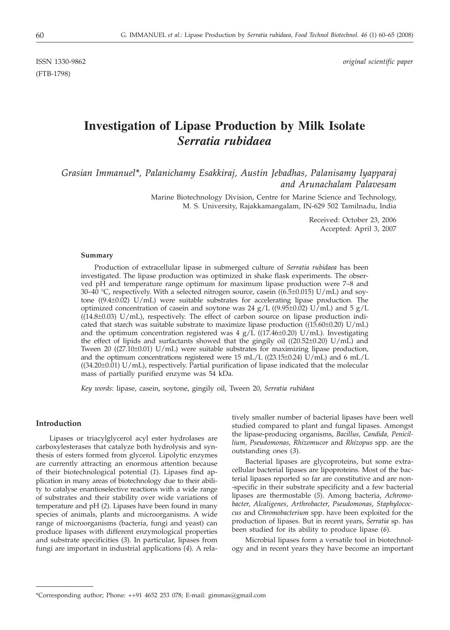(FTB-1798)

ISSN 1330-9862 *original scientific paper*

# **Investigation of Lipase Production by Milk Isolate** *Serratia rubidaea*

*Grasian Immanuel\*, Palanichamy Esakkiraj, Austin Jebadhas, Palanisamy Iyapparaj and Arunachalam Palavesam*

> Marine Biotechnology Division, Centre for Marine Science and Technology, M. S. University, Rajakkamangalam, IN-629 502 Tamilnadu, India

> > Received: October 23, 2006 Accepted: April 3, 2007

#### **Summary**

Production of extracellular lipase in submerged culture of *Serratia rubidaea* has been investigated. The lipase production was optimized in shake flask experiments. The observed pH and temperature range optimum for maximum lipase production were 7–8 and 30–40 °C, respectively. With a selected nitrogen source, casein ((6.5 $\pm$ 0.015) U/mL) and soytone ((9.4 $\pm$ 0.02) U/mL) were suitable substrates for accelerating lipase production. The optimized concentration of casein and soytone was 24 g/L ((9.95±0.02) U/mL) and 5 g/L  $((14.8±0.03)$  U/mL), respectively. The effect of carbon source on lipase production indicated that starch was suitable substrate to maximize lipase production ( $(15.60\pm0.20)$  U/mL) and the optimum concentration registered was  $4 g/L$  ((17.46±0.20) U/mL). Investigating the effect of lipids and surfactants showed that the gingily oil  $((20.52\pm0.20) \text{ U/mL})$  and Tween 20  $((27.10\pm0.01)$  U/mL) were suitable substrates for maximizing lipase production, and the optimum concentrations registered were 15 mL/L ((23.15±0.24) U/mL) and 6 mL/L ((34.20±0.01) U/mL), respectively. Partial purification of lipase indicated that the molecular mass of partially purified enzyme was 54 kDa.

*Key words*: lipase, casein, soytone, gingily oil, Tween 20, *Serratia rubidaea*

## **Introduction**

Lipases or triacylglycerol acyl ester hydrolases are carboxylesterases that catalyze both hydrolysis and synthesis of esters formed from glycerol. Lipolytic enzymes are currently attracting an enormous attention because of their biotechnological potential (*1*). Lipases find application in many areas of biotechnology due to their ability to catalyse enantioselective reactions with a wide range of substrates and their stability over wide variations of temperature and pH (*2*). Lipases have been found in many species of animals, plants and microorganisms. A wide range of microorganisms (bacteria, fungi and yeast) can produce lipases with different enzymological properties and substrate specificities (*3*). In particular, lipases from fungi are important in industrial applications (*4*). A rela-

tively smaller number of bacterial lipases have been well studied compared to plant and fungal lipases. Amongst the lipase-producing organisms, *Bacillus, Candida, Penicillium, Pseudomonas, Rhizomucor* and *Rhizopus* spp. are the outstanding ones (*3*).

Bacterial lipases are glycoproteins, but some extracellular bacterial lipases are lipoproteins. Most of the bacterial lipases reported so far are constitutive and are non- -specific in their substrate specificity and a few bacterial lipases are thermostable (*5*). Among bacteria, *Achromobacter*, *Alcaligenes*, *Arthrobacter*, *Pseudomonas*, *Staphylococcus* and *Chromobacterium* spp. have been exploited for the production of lipases. But in recent years, *Serratia* sp. has been studied for its ability to produce lipase (*6*).

Microbial lipases form a versatile tool in biotechnology and in recent years they have become an important

<sup>\*</sup>Corresponding author; Phone: ++91 4652 253 078; E-mail: gimmas*@*gmail.com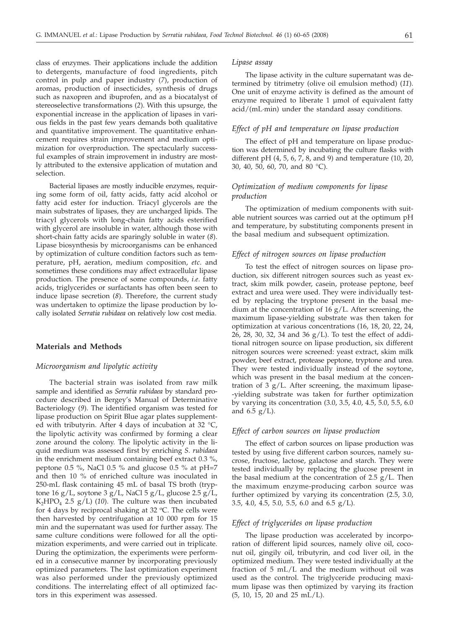class of enzymes. Their applications include the addition to detergents, manufacture of food ingredients, pitch control in pulp and paper industry (*7*), production of aromas, production of insecticides, synthesis of drugs such as naxopren and ibuprofen, and as a biocatalyst of stereoselective transformations (*2*). With this upsurge, the exponential increase in the application of lipases in various fields in the past few years demands both qualitative and quantitative improvement. The quantitative enhancement requires strain improvement and medium optimization for overproduction. The spectacularly successful examples of strain improvement in industry are mostly attributed to the extensive application of mutation and selection.

Bacterial lipases are mostly inducible enzymes, requiring some form of oil, fatty acids, fatty acid alcohol or fatty acid ester for induction. Triacyl glycerols are the main substrates of lipases, they are uncharged lipids. The triacyl glycerols with long-chain fatty acids esterified with glycerol are insoluble in water, although those with short-chain fatty acids are sparingly soluble in water (*8*). Lipase biosynthesis by microorganisms can be enhanced by optimization of culture condition factors such as temperature, pH, aeration, medium composition, *etc*. and sometimes these conditions may affect extracellular lipase production. The presence of some compounds, *i.e*. fatty acids, triglycerides or surfactants has often been seen to induce lipase secretion (*8*). Therefore, the current study was undertaken to optimize the lipase production by locally isolated *Serratia rubidaea* on relatively low cost media.

## **Materials and Methods**

## *Microorganism and lipolytic activity*

The bacterial strain was isolated from raw milk sample and identified as *Serratia rubidaea* by standard procedure described in Bergey's Manual of Determinative Bacteriology (*9*). The identified organism was tested for lipase production on Spirit Blue agar plates supplemented with tributyrin. After 4 days of incubation at 32 °C, the lipolytic activity was confirmed by forming a clear zone around the colony. The lipolytic activity in the liquid medium was assessed first by enriching *S. rubidaea* in the enrichment medium containing beef extract 0.3 %, peptone 0.5 %, NaCl 0.5 % and glucose 0.5 % at pH=7 and then 10 % of enriched culture was inoculated in 250-mL flask containing 45 mL of basal TS broth (tryptone 16 g/L, soytone 3 g/L, NaCl 5 g/L, glucose  $2.5$  g/L, K<sub>2</sub>HPO<sub>4</sub> 2.5 g/L) (10). The culture was then incubated for 4 days by reciprocal shaking at 32  $\degree$ C. The cells were then harvested by centrifugation at 10 000 rpm for 15 min and the supernatant was used for further assay. The same culture conditions were followed for all the optimization experiments, and were carried out in triplicate. During the optimization, the experiments were performed in a consecutive manner by incorporating previously optimized parameters. The last optimization experiment was also performed under the previously optimized conditions. The interrelating effect of all optimized factors in this experiment was assessed.

## *Lipase assay*

The lipase activity in the culture supernatant was determined by titrimetry (olive oil emulsion method) (*11*). One unit of enzyme activity is defined as the amount of enzyme required to liberate 1 µmol of equivalent fatty acid/(mL·min) under the standard assay conditions.

## *Effect of pH and temperature on lipase production*

The effect of pH and temperature on lipase production was determined by incubating the culture flasks with different pH (4, 5, 6, 7, 8, and 9) and temperature (10, 20, 30, 40, 50, 60, 70, and 80 °C).

## *Optimization of medium components for lipase production*

The optimization of medium components with suitable nutrient sources was carried out at the optimum pH and temperature, by substituting components present in the basal medium and subsequent optimization.

## *Effect of nitrogen sources on lipase production*

To test the effect of nitrogen sources on lipase production, six different nitrogen sources such as yeast extract, skim milk powder, casein, protease peptone, beef extract and urea were used. They were individually tested by replacing the tryptone present in the basal medium at the concentration of 16 g/L. After screening, the maximum lipase-yielding substrate was then taken for optimization at various concentrations (16, 18, 20, 22, 24, 26, 28, 30, 32, 34 and 36 g/L). To test the effect of additional nitrogen source on lipase production, six different nitrogen sources were screened: yeast extract, skim milk powder, beef extract, protease peptone, tryptone and urea. They were tested individually instead of the soytone, which was present in the basal medium at the concentration of 3  $g/L$ . After screening, the maximum lipase--yielding substrate was taken for further optimization by varying its concentration (3.0, 3.5, 4.0, 4.5, 5.0, 5.5, 6.0 and  $6.5$  g/L).

#### *Effect of carbon sources on lipase production*

The effect of carbon sources on lipase production was tested by using five different carbon sources, namely sucrose, fructose, lactose, galactose and starch. They were tested individually by replacing the glucose present in the basal medium at the concentration of 2.5  $g/L$ . Then the maximum enzyme-producing carbon source was further optimized by varying its concentration (2.5, 3.0, 3.5, 4.0, 4.5, 5.0, 5.5, 6.0 and 6.5 g/L).

## *Effect of triglycerides on lipase production*

The lipase production was accelerated by incorporation of different lipid sources, namely olive oil, coconut oil, gingily oil, tributyrin, and cod liver oil, in the optimized medium. They were tested individually at the fraction of 5 mL/L and the medium without oil was used as the control. The triglyceride producing maximum lipase was then optimized by varying its fraction (5, 10, 15, 20 and 25 mL/L).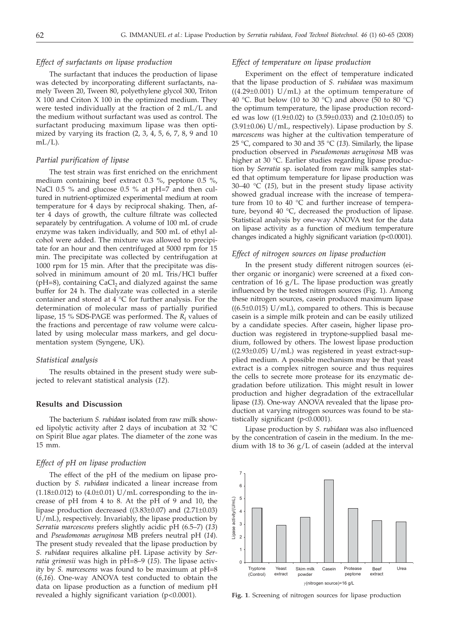## *Effect of surfactants on lipase production*

The surfactant that induces the production of lipase was detected by incorporating different surfactants, namely Tween 20, Tween 80, polyethylene glycol 300, Triton X 100 and Criton X 100 in the optimized medium. They were tested individually at the fraction of 2 mL/L and the medium without surfactant was used as control. The surfactant producing maximum lipase was then optimized by varying its fraction (2, 3, 4, 5, 6, 7, 8, 9 and 10  $mL/L$ ).

## *Partial purification of lipase*

The test strain was first enriched on the enrichment medium containing beef extract 0.3 %, peptone 0.5 %, NaCl 0.5 % and glucose 0.5 % at pH=7 and then cultured in nutrient-optimized experimental medium at room temperature for 4 days by reciprocal shaking. Then, after 4 days of growth, the culture filtrate was collected separately by centrifugation. A volume of 100 mL of crude enzyme was taken individually, and 500 mL of ethyl alcohol were added. The mixture was allowed to precipitate for an hour and then centrifuged at 5000 rpm for 15 min. The precipitate was collected by centrifugation at 1000 rpm for 15 min. After that the precipitate was dissolved in minimum amount of 20 mL Tris/HCl buffer  $(pH=8)$ , containing CaCl<sub>2</sub> and dialyzed against the same buffer for 24 h. The dialyzate was collected in a sterile container and stored at  $4 °C$  for further analysis. For the determination of molecular mass of partially purified lipase, 15 % SDS-PAGE was performed. The  $R_f$  values of the fractions and percentage of raw volume were calculated by using molecular mass markers, and gel documentation system (Syngene, UK).

#### *Statistical analysis*

The results obtained in the present study were subjected to relevant statistical analysis (*12*).

## **Results and Discussion**

The bacterium *S. rubidaea* isolated from raw milk showed lipolytic activity after 2 days of incubation at 32 °C on Spirit Blue agar plates. The diameter of the zone was 15 mm.

#### *Effect of pH on lipase production*

The effect of the pH of the medium on lipase production by *S. rubidaea* indicated a linear increase from  $(1.18\pm0.012)$  to  $(4.0\pm0.01)$  U/mL corresponding to the increase of pH from 4 to 8. At the pH of 9 and 10, the lipase production decreased ((3.83±0.07) and (2.71±0.03) U/mL), respectively. Invariably, the lipase production by *Serratia marcescens* prefers slightly acidic pH (6.5–7) (*13*) and *Pseudomonas aeruginosa* MB prefers neutral pH (*14*). The present study revealed that the lipase production by *S. rubidaea* requires alkaline pH. Lipase activity by *Serratia grimesii* was high in pH=8–9 (*15*). The lipase activity by *S. marcescens* was found to be maximum at pH=8 (*6,16*). One-way ANOVA test conducted to obtain the data on lipase production as a function of medium pH revealed a highly significant variation (p<0.0001).

## *Effect of temperature on lipase production*

Experiment on the effect of temperature indicated that the lipase production of *S. rubidaea* was maximum  $((4.29\pm0.001)$  U/mL) at the optimum temperature of 40 °C. But below (10 to 30 °C) and above (50 to 80 °C) the optimum temperature, the lipase production recorded was low  $((1.9\pm0.02)$  to  $(3.59\pm0.033)$  and  $(2.10\pm0.05)$  to (3.91±0.06) U/mL, respectively). Lipase production by *S. marcescens* was higher at the cultivation temperature of 25 °C, compared to 30 and 35 °C (*13*). Similarly, the lipase production observed in *Pseudomonas aeruginosa* MB was higher at 30 °C. Earlier studies regarding lipase production by *Serratia* sp. isolated from raw milk samples stated that optimum temperature for lipase production was 30–40 °C (*15*), but in the present study lipase activity showed gradual increase with the increase of temperature from 10 to 40  $\degree$ C and further increase of temperature, beyond 40 °C, decreased the production of lipase. Statistical analysis by one-way ANOVA test for the data on lipase activity as a function of medium temperature changes indicated a highly significant variation (p<0.0001).

## *Effect of nitrogen sources on lipase production*

In the present study different nitrogen sources (either organic or inorganic) were screened at a fixed concentration of 16  $g/L$ . The lipase production was greatly influenced by the tested nitrogen sources (Fig. 1). Among these nitrogen sources, casein produced maximum lipase ((6.5*±*0.015) U/mL), compared to others. This is because casein is a simple milk protein and can be easily utilized by a candidate species. After casein, higher lipase production was registered in tryptone-supplied basal medium, followed by others. The lowest lipase production ((2.93±0.05) U/mL) was registered in yeast extract-supplied medium. A possible mechanism may be that yeast extract is a complex nitrogen source and thus requires the cells to secrete more protease for its enzymatic degradation before utilization. This might result in lower production and higher degradation of the extracellular lipase (*13*). One-way ANOVA revealed that the lipase production at varying nitrogen sources was found to be statistically significant (p<0.0001).

Lipase production by *S. rubidaea* was also influenced by the concentration of casein in the medium. In the medium with 18 to 36 g/L of casein (added at the interval



**Fig. 1**. Screening of nitrogen sources for lipase production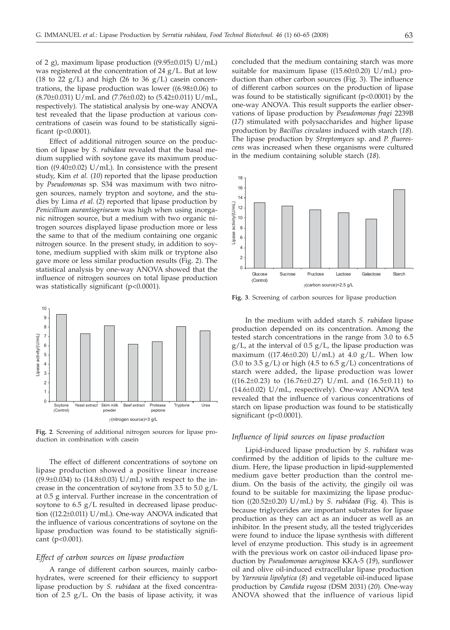of 2 g), maximum lipase production ((9.95 $\pm$ 0.015) U/mL) was registered at the concentration of 24 g/L. But at low (18 to 22  $g/L$ ) and high (26 to 36  $g/L$ ) casein concentrations, the lipase production was lower ((6.98±0.06) to  $(8.70\pm0.031)$  U/mL and  $(7.76\pm0.02)$  to  $(5.42\pm0.011)$  U/mL, respectively). The statistical analysis by one-way ANOVA test revealed that the lipase production at various concentrations of casein was found to be statistically significant (p<0.0001).

Effect of additional nitrogen source on the production of lipase by *S. rubidaea* revealed that the basal medium supplied with soytone gave its maximum production  $((9.40\pm0.02)$  U/mL). In consistence with the present study, Kim *et al.* (*10*) reported that the lipase production by *Pseudomonas* sp. S34 was maximum with two nitrogen sources, namely trypton and soytone, and the studies by Lima *et al.* (*2*) reported that lipase production by *Penicillium aurantiogriseum* was high when using inorganic nitrogen source, but a medium with two organic nitrogen sources displayed lipase production more or less the same to that of the medium containing one organic nitrogen source. In the present study, in addition to soytone, medium supplied with skim milk or tryptone also gave more or less similar production results (Fig. 2). The statistical analysis by one-way ANOVA showed that the influence of nitrogen sources on total lipase production was statistically significant (p<0.0001).



**Fig. 2***.* Screening of additional nitrogen sources for lipase production in combination with casein

The effect of different concentrations of soytone on lipase production showed a positive linear increase  $((9.9\pm0.034)$  to  $(14.8\pm0.03)$  U/mL) with respect to the increase in the concentration of soytone from 3.5 to  $5.0 \text{ g/L}$ at 0.5 g interval. Further increase in the concentration of soytone to 6.5 g/L resulted in decreased lipase production ((12.2±0.011) U/mL). One-way ANOVA indicated that the influence of various concentrations of soytone on the lipase production was found to be statistically significant (p<0.001).

#### *Effect of carbon sources on lipase production*

A range of different carbon sources, mainly carbohydrates, were screened for their efficiency to support lipase production by *S. rubidaea* at the fixed concentration of 2.5 g/L*.* On the basis of lipase activity, it was

concluded that the medium containing starch was more suitable for maximum lipase  $((15.60\pm0.20) \text{ U/mL})$  production than other carbon sources (Fig. 3). The influence of different carbon sources on the production of lipase was found to be statistically significant (p<0.0001) by the one-way ANOVA. This result supports the earlier observations of lipase production by *Pseudomonas fragi* 2239B (*17*) stimulated with polysaccharides and higher lipase production by *Bacillus circulans* induced with starch (*18*). The lipase production by *Streptomyces* sp. and *P. fluorescens* was increased when these organisms were cultured in the medium containing soluble starch (*18*).



**Fig. 3***.* Screening of carbon sources for lipase production

In the medium with added starch *S. rubidaea* lipase production depended on its concentration. Among the tested starch concentrations in the range from 3.0 to 6.5  $g/L$ , at the interval of 0.5  $g/L$ , the lipase production was maximum ((17.46 $\pm$ 0.20) U/mL) at 4.0 g/L. When low (3.0 to 3.5  $g/L$ ) or high (4.5 to 6.5  $g/L$ ) concentrations of starch were added, the lipase production was lower  $((16.2\pm0.23)$  to  $(16.76\pm0.27)$  U/mL and  $(16.5\pm0.11)$  to  $(14.6\pm0.02)$  U/mL, respectively). One-way ANOVA test revealed that the influence of various concentrations of starch on lipase production was found to be statistically significant (p<0.0001).

## *Influence of lipid sources on lipase production*

Lipid-induced lipase production by *S. rubidaea* was confirmed by the addition of lipids to the culture medium. Here, the lipase production in lipid-supplemented medium gave better production than the control medium. On the basis of the activity, the gingily oil was found to be suitable for maximizing the lipase production ((20.52±0.20) U/mL) by *S. rubidaea* (Fig. 4). This is because triglycerides are important substrates for lipase production as they can act as an inducer as well as an inhibitor. In the present study, all the tested triglycerides were found to induce the lipase synthesis with different level of enzyme production. This study is in agreement with the previous work on castor oil-induced lipase production by *Pseudomonas aeruginosa* KKA-5 (*19*), sunflower oil and olive oil-induced extracellular lipase production by *Yarrowia lipolytica* (*8*) and vegetable oil-induced lipase production by *Candida rugosa* (DSM 2031) (*20*). One-way ANOVA showed that the influence of various lipid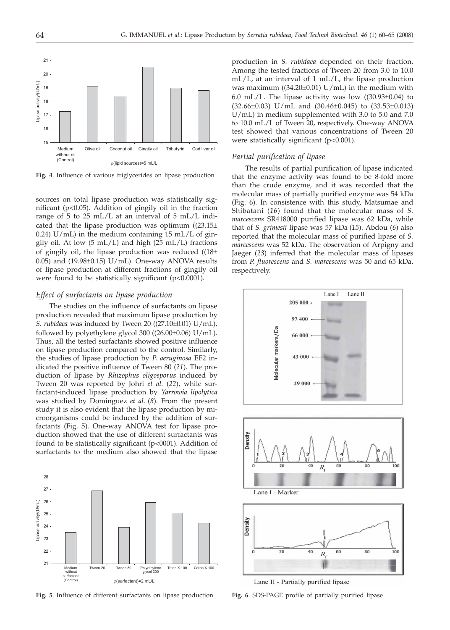

**Fig. 4**. Influence of various triglycerides on lipase production

sources on total lipase production was statistically significant (p<0.05). Addition of gingily oil in the fraction range of 5 to 25 mL/L at an interval of 5 mL/L indicated that the lipase production was optimum  $((23.15\pm$ 0.24)  $U/mL$  in the medium containing 15 mL/L of gingily oil. At low  $(5 \text{ mL/L})$  and high  $(25 \text{ mL/L})$  fractions of gingily oil, the lipase production was reduced  $((18\pm$ 0.05) and (19.98±0.15) U/mL). One-way ANOVA results of lipase production at different fractions of gingily oil were found to be statistically significant (p<0.0001).

## *Effect of surfactants on lipase production*

The studies on the influence of surfactants on lipase production revealed that maximum lipase production by *S. rubidaea* was induced by Tween 20 ((27.10±0.01) U/mL), followed by polyethylene glycol 300 ((26.00±0.06) U/mL). Thus, all the tested surfactants showed positive influence on lipase production compared to the control. Similarly, the studies of lipase production by *P. aeruginosa* EF2 indicated the positive influence of Tween 80 (*21*). The production of lipase by *Rhizophus oligosporus* induced by Tween 20 was reported by Johri *et al.* (*22*), while surfactant-induced lipase production by *Yarrowia lipolytica* was studied by Dominguez *et al.* (*8*). From the present study it is also evident that the lipase production by microorganisms could be induced by the addition of surfactants (Fig. 5). One-way ANOVA test for lipase production showed that the use of different surfactants was found to be statistically significant (p<0001). Addition of surfactants to the medium also showed that the lipase



**Fig. 5**. Influence of different surfactants on lipase production **Fig. 6**. SDS-PAGE profile of partially purified lipase

production in *S. rubidaea* depended on their fraction. Among the tested fractions of Tween 20 from 3.0 to 10.0 mL/L, at an interval of 1 mL/L, the lipase production was maximum  $((34.20\pm0.01) \text{ U/mL})$  in the medium with 6.0 mL/L. The lipase activity was low  $((30.93\pm0.04)$  to  $(32.66\pm0.03)$  U/mL and  $(30.46\pm0.045)$  to  $(33.53\pm0.013)$ U/mL) in medium supplemented with 3.0 to 5.0 and 7.0 to 10.0 mL/L of Tween 20, respectively. One-way ANOVA test showed that various concentrations of Tween 20 were statistically significant (p<0.001).

#### *Partial purification of lipase*

The results of partial purification of lipase indicated that the enzyme activity was found to be 8-fold more than the crude enzyme, and it was recorded that the molecular mass of partially purified enzyme was 54 kDa (Fig. 6). In consistence with this study, Matsumae and Shibatani (*16*) found that the molecular mass of *S. marcescens* SR418000 purified lipase was 62 kDa, while that of *S. grimesii* lipase was 57 kDa (*15*). Abdou (*6*) also reported that the molecular mass of purified lipase of *S. marcescens* was 52 kDa. The observation of Arpigny and Jaeger (*23*) inferred that the molecular mass of lipases from *P. fluorescens* and *S. marcescens* was 50 and 65 kDa, respectively.